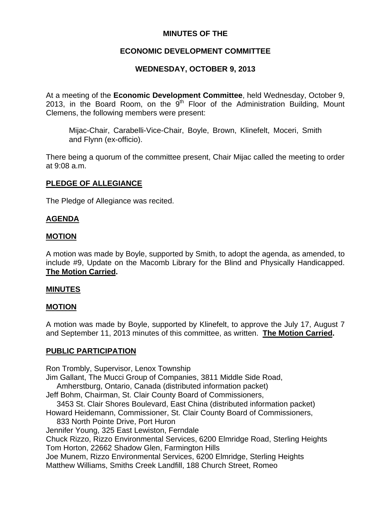# **MINUTES OF THE**

# **ECONOMIC DEVELOPMENT COMMITTEE**

# **WEDNESDAY, OCTOBER 9, 2013**

At a meeting of the **Economic Development Committee**, held Wednesday, October 9, 2013, in the Board Room, on the  $9<sup>th</sup>$  Floor of the Administration Building, Mount Clemens, the following members were present:

Mijac-Chair, Carabelli-Vice-Chair, Boyle, Brown, Klinefelt, Moceri, Smith and Flynn (ex-officio).

There being a quorum of the committee present, Chair Mijac called the meeting to order at 9:08 a.m.

# **PLEDGE OF ALLEGIANCE**

The Pledge of Allegiance was recited.

### **AGENDA**

### **MOTION**

A motion was made by Boyle, supported by Smith, to adopt the agenda, as amended, to include #9, Update on the Macomb Library for the Blind and Physically Handicapped. **The Motion Carried.** 

#### **MINUTES**

#### **MOTION**

A motion was made by Boyle, supported by Klinefelt, to approve the July 17, August 7 and September 11, 2013 minutes of this committee, as written. **The Motion Carried.** 

#### **PUBLIC PARTICIPATION**

Ron Trombly, Supervisor, Lenox Township

Jim Gallant, The Mucci Group of Companies, 3811 Middle Side Road,

Amherstburg, Ontario, Canada (distributed information packet)

Jeff Bohm, Chairman, St. Clair County Board of Commissioners,

3453 St. Clair Shores Boulevard, East China (distributed information packet)

Howard Heidemann, Commissioner, St. Clair County Board of Commissioners, 833 North Pointe Drive, Port Huron

Jennifer Young, 325 East Lewiston, Ferndale

Chuck Rizzo, Rizzo Environmental Services, 6200 Elmridge Road, Sterling Heights Tom Horton, 22662 Shadow Glen, Farmington Hills

Joe Munem, Rizzo Environmental Services, 6200 Elmridge, Sterling Heights Matthew Williams, Smiths Creek Landfill, 188 Church Street, Romeo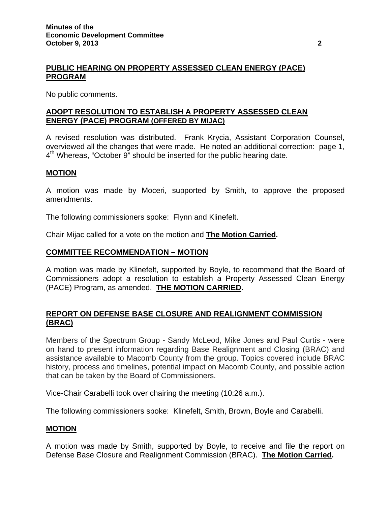# **PUBLIC HEARING ON PROPERTY ASSESSED CLEAN ENERGY (PACE) PROGRAM**

No public comments.

# **ADOPT RESOLUTION TO ESTABLISH A PROPERTY ASSESSED CLEAN ENERGY (PACE) PROGRAM (OFFERED BY MIJAC)**

A revised resolution was distributed. Frank Krycia, Assistant Corporation Counsel, overviewed all the changes that were made. He noted an additional correction: page 1, 4<sup>th</sup> Whereas, "October 9" should be inserted for the public hearing date.

### **MOTION**

A motion was made by Moceri, supported by Smith, to approve the proposed amendments.

The following commissioners spoke: Flynn and Klinefelt.

Chair Mijac called for a vote on the motion and **The Motion Carried.** 

### **COMMITTEE RECOMMENDATION – MOTION**

A motion was made by Klinefelt, supported by Boyle, to recommend that the Board of Commissioners adopt a resolution to establish a Property Assessed Clean Energy (PACE) Program, as amended. **THE MOTION CARRIED.** 

# **REPORT ON DEFENSE BASE CLOSURE AND REALIGNMENT COMMISSION (BRAC)**

Members of the Spectrum Group - Sandy McLeod, Mike Jones and Paul Curtis - were on hand to present information regarding Base Realignment and Closing (BRAC) and assistance available to Macomb County from the group. Topics covered include BRAC history, process and timelines, potential impact on Macomb County, and possible action that can be taken by the Board of Commissioners.

Vice-Chair Carabelli took over chairing the meeting (10:26 a.m.).

The following commissioners spoke: Klinefelt, Smith, Brown, Boyle and Carabelli.

# **MOTION**

A motion was made by Smith, supported by Boyle, to receive and file the report on Defense Base Closure and Realignment Commission (BRAC). **The Motion Carried.**